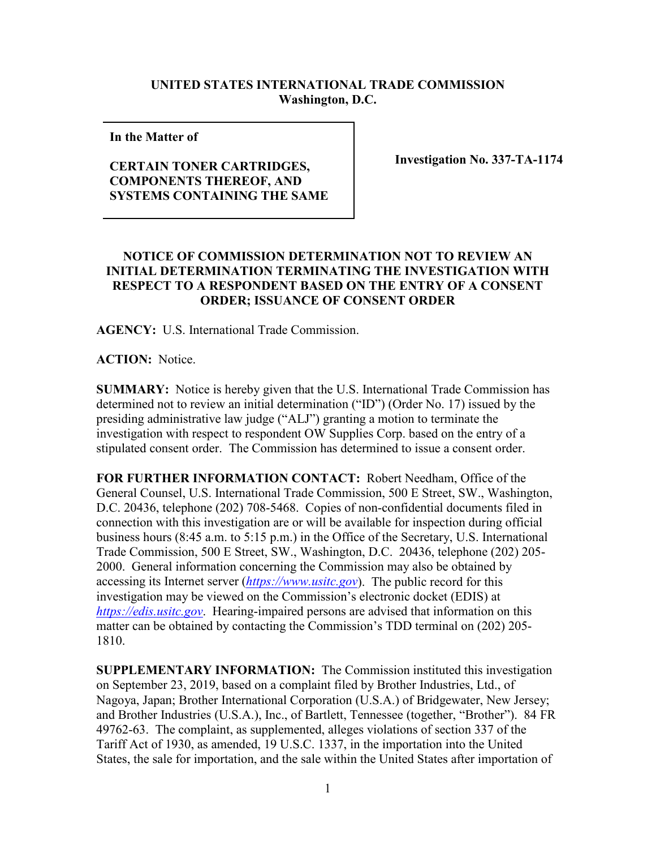## **UNITED STATES INTERNATIONAL TRADE COMMISSION Washington, D.C.**

**In the Matter of** 

## **CERTAIN TONER CARTRIDGES, COMPONENTS THEREOF, AND SYSTEMS CONTAINING THE SAME**

**Investigation No. 337-TA-1174**

## **NOTICE OF COMMISSION DETERMINATION NOT TO REVIEW AN INITIAL DETERMINATION TERMINATING THE INVESTIGATION WITH RESPECT TO A RESPONDENT BASED ON THE ENTRY OF A CONSENT ORDER; ISSUANCE OF CONSENT ORDER**

**AGENCY:** U.S. International Trade Commission.

**ACTION:** Notice.

**SUMMARY:** Notice is hereby given that the U.S. International Trade Commission has determined not to review an initial determination ("ID") (Order No. 17) issued by the presiding administrative law judge ("ALJ") granting a motion to terminate the investigation with respect to respondent OW Supplies Corp. based on the entry of a stipulated consent order. The Commission has determined to issue a consent order.

**FOR FURTHER INFORMATION CONTACT:** Robert Needham, Office of the General Counsel, U.S. International Trade Commission, 500 E Street, SW., Washington, D.C. 20436, telephone (202) 708-5468. Copies of non-confidential documents filed in connection with this investigation are or will be available for inspection during official business hours (8:45 a.m. to 5:15 p.m.) in the Office of the Secretary, U.S. International Trade Commission, 500 E Street, SW., Washington, D.C. 20436, telephone (202) 205- 2000. General information concerning the Commission may also be obtained by accessing its Internet server (*[https://www.usitc.gov](https://www.usitc.gov/)*). The public record for this investigation may be viewed on the Commission's electronic docket (EDIS) at *[https://edis.usitc.gov](https://edis.usitc.gov/)*. Hearing-impaired persons are advised that information on this matter can be obtained by contacting the Commission's TDD terminal on (202) 205- 1810.

**SUPPLEMENTARY INFORMATION:** The Commission instituted this investigation on September 23, 2019, based on a complaint filed by Brother Industries, Ltd., of Nagoya, Japan; Brother International Corporation (U.S.A.) of Bridgewater, New Jersey; and Brother Industries (U.S.A.), Inc., of Bartlett, Tennessee (together, "Brother"). 84 FR 49762-63. The complaint, as supplemented, alleges violations of section 337 of the Tariff Act of 1930, as amended, 19 U.S.C. 1337, in the importation into the United States, the sale for importation, and the sale within the United States after importation of